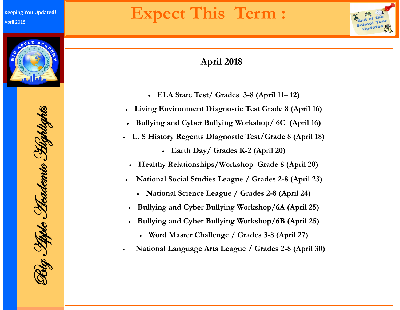

### **April 2018**

- **ELA State Test/ Grades 3-8 (April 11– 12)**
- **Living Environment Diagnostic Test Grade 8 (April 16)**
- **Bullying and Cyber Bullying Workshop/ 6C (April 16)**
- **U. S History Regents Diagnostic Test/Grade 8 (April 18)**
	- **Earth Day/ Grades K-2 (April 20)**
	- **Healthy Relationships/Workshop Grade 8 (April 20)**
- **National Social Studies League / Grades 2-8 (April 23)**
	- **National Science League / Grades 2-8 (April 24)**
- **Bullying and Cyber Bullying Workshop/6A (April 25)**
- **Bullying and Cyber Bullying Workshop/6B (April 25)**
	- **Word Master Challenge / Grades 3-8 (April 27)**
- **National Language Arts League / Grades 2-8 (April 30)**

Big Apple Academic Highlights ig Tiple Hademie Highlights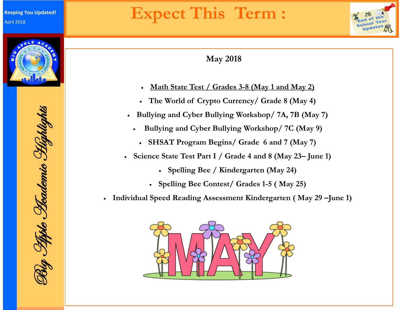



- **Math State Test / Grades 3-8 (May 1 and May 2)**
- **The World of Crypto Currency/ Grade 8 (May 4)**
- **Bullying and Cyber Bullying Workshop/ 7A, 7B (May 7)**
	- **Bullying and Cyber Bullying Workshop/ 7C (May 9)**
	- **SHSAT Program Begins/ Grade 6 and 7 (May 7)**
- **Science State Test Part I / Grade 4 and 8 (May 23– June 1)**
	- **Spelling Bee / Kindergarten (May 24)**
	- **Spelling Bee Contest/ Grades 1-5 ( May 25)**
- **Individual Speed Reading Assessment Kindergarten ( May 29 –June 1)**



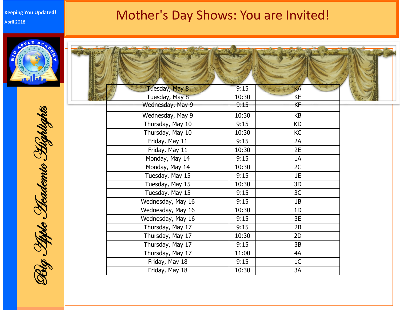#### **Keeping You Updated!** April 2018

### Mother's Day Shows: You are Invited!





Big Apple Academic Highlights Rig Tiple Thademic Highlights